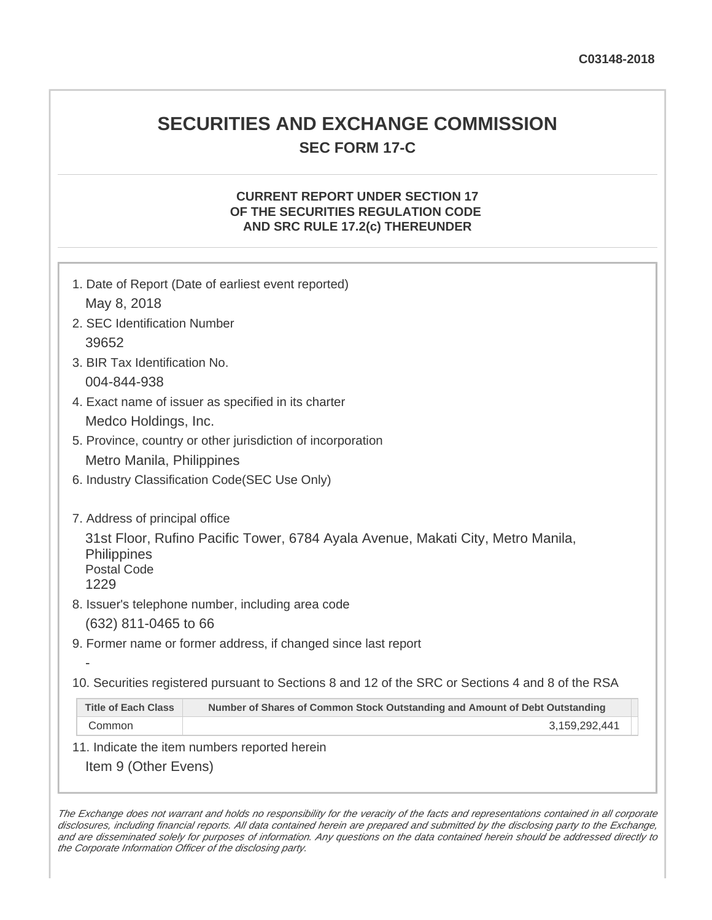## **SECURITIES AND EXCHANGE COMMISSION SEC FORM 17-C**

## **CURRENT REPORT UNDER SECTION 17 OF THE SECURITIES REGULATION CODE AND SRC RULE 17.2(c) THEREUNDER**

|                                                                                                            | 1. Date of Report (Date of earliest event reported)                                                                                  |  |
|------------------------------------------------------------------------------------------------------------|--------------------------------------------------------------------------------------------------------------------------------------|--|
| May 8, 2018                                                                                                |                                                                                                                                      |  |
| 2. SEC Identification Number                                                                               |                                                                                                                                      |  |
| 39652                                                                                                      |                                                                                                                                      |  |
| 3. BIR Tax Identification No.                                                                              |                                                                                                                                      |  |
| 004-844-938                                                                                                |                                                                                                                                      |  |
| 4. Exact name of issuer as specified in its charter                                                        |                                                                                                                                      |  |
| Medco Holdings, Inc.                                                                                       |                                                                                                                                      |  |
| 5. Province, country or other jurisdiction of incorporation                                                |                                                                                                                                      |  |
| Metro Manila, Philippines                                                                                  |                                                                                                                                      |  |
| 6. Industry Classification Code(SEC Use Only)                                                              |                                                                                                                                      |  |
| 7. Address of principal office<br><b>Philippines</b><br><b>Postal Code</b><br>1229<br>(632) 811-0465 to 66 | 31st Floor, Rufino Pacific Tower, 6784 Ayala Avenue, Makati City, Metro Manila,<br>8. Issuer's telephone number, including area code |  |
|                                                                                                            | 9. Former name or former address, if changed since last report                                                                       |  |
|                                                                                                            |                                                                                                                                      |  |
|                                                                                                            | 10. Securities registered pursuant to Sections 8 and 12 of the SRC or Sections 4 and 8 of the RSA                                    |  |
| <b>Title of Each Class</b>                                                                                 | Number of Shares of Common Stock Outstanding and Amount of Debt Outstanding                                                          |  |
| Common                                                                                                     | 3,159,292,441                                                                                                                        |  |
| 11. Indicate the item numbers reported herein                                                              |                                                                                                                                      |  |
| Item 9 (Other Evens)                                                                                       |                                                                                                                                      |  |

The Exchange does not warrant and holds no responsibility for the veracity of the facts and representations contained in all corporate disclosures, including financial reports. All data contained herein are prepared and submitted by the disclosing party to the Exchange, and are disseminated solely for purposes of information. Any questions on the data contained herein should be addressed directly to the Corporate Information Officer of the disclosing party.